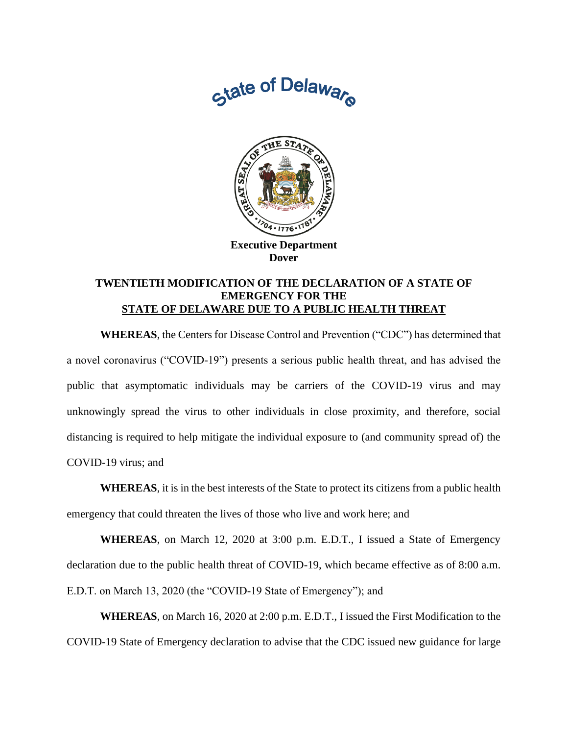



**Executive Department Dover**

## **TWENTIETH MODIFICATION OF THE DECLARATION OF A STATE OF EMERGENCY FOR THE STATE OF DELAWARE DUE TO A PUBLIC HEALTH THREAT**

**WHEREAS**, the Centers for Disease Control and Prevention ("CDC") has determined that a novel coronavirus ("COVID-19") presents a serious public health threat, and has advised the public that asymptomatic individuals may be carriers of the COVID-19 virus and may unknowingly spread the virus to other individuals in close proximity, and therefore, social distancing is required to help mitigate the individual exposure to (and community spread of) the COVID-19 virus; and

**WHEREAS**, it is in the best interests of the State to protect its citizens from a public health emergency that could threaten the lives of those who live and work here; and

**WHEREAS**, on March 12, 2020 at 3:00 p.m. E.D.T., I issued a State of Emergency declaration due to the public health threat of COVID-19, which became effective as of 8:00 a.m. E.D.T. on March 13, 2020 (the "COVID-19 State of Emergency"); and

**WHEREAS**, on March 16, 2020 at 2:00 p.m. E.D.T., I issued the First Modification to the COVID-19 State of Emergency declaration to advise that the CDC issued new guidance for large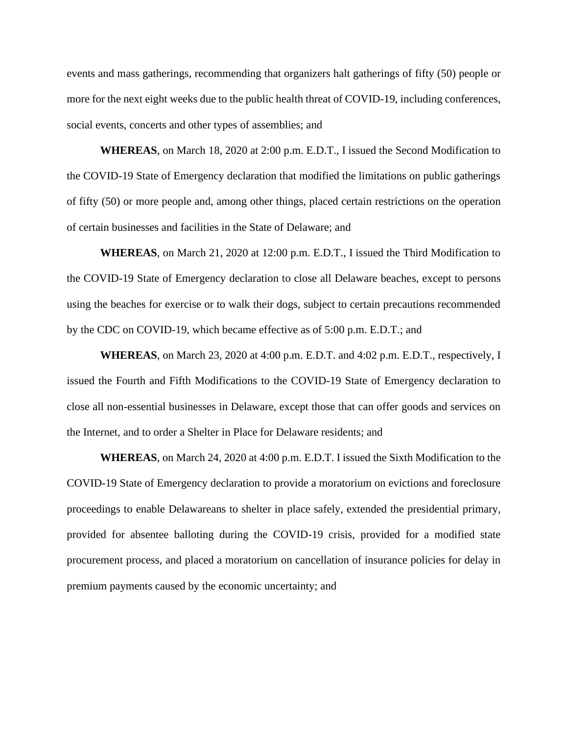events and mass gatherings, recommending that organizers halt gatherings of fifty (50) people or more for the next eight weeks due to the public health threat of COVID-19, including conferences, social events, concerts and other types of assemblies; and

**WHEREAS**, on March 18, 2020 at 2:00 p.m. E.D.T., I issued the Second Modification to the COVID-19 State of Emergency declaration that modified the limitations on public gatherings of fifty (50) or more people and, among other things, placed certain restrictions on the operation of certain businesses and facilities in the State of Delaware; and

**WHEREAS**, on March 21, 2020 at 12:00 p.m. E.D.T., I issued the Third Modification to the COVID-19 State of Emergency declaration to close all Delaware beaches, except to persons using the beaches for exercise or to walk their dogs, subject to certain precautions recommended by the CDC on COVID-19, which became effective as of 5:00 p.m. E.D.T.; and

**WHEREAS**, on March 23, 2020 at 4:00 p.m. E.D.T. and 4:02 p.m. E.D.T., respectively, I issued the Fourth and Fifth Modifications to the COVID-19 State of Emergency declaration to close all non-essential businesses in Delaware, except those that can offer goods and services on the Internet, and to order a Shelter in Place for Delaware residents; and

**WHEREAS**, on March 24, 2020 at 4:00 p.m. E.D.T. I issued the Sixth Modification to the COVID-19 State of Emergency declaration to provide a moratorium on evictions and foreclosure proceedings to enable Delawareans to shelter in place safely, extended the presidential primary, provided for absentee balloting during the COVID-19 crisis, provided for a modified state procurement process, and placed a moratorium on cancellation of insurance policies for delay in premium payments caused by the economic uncertainty; and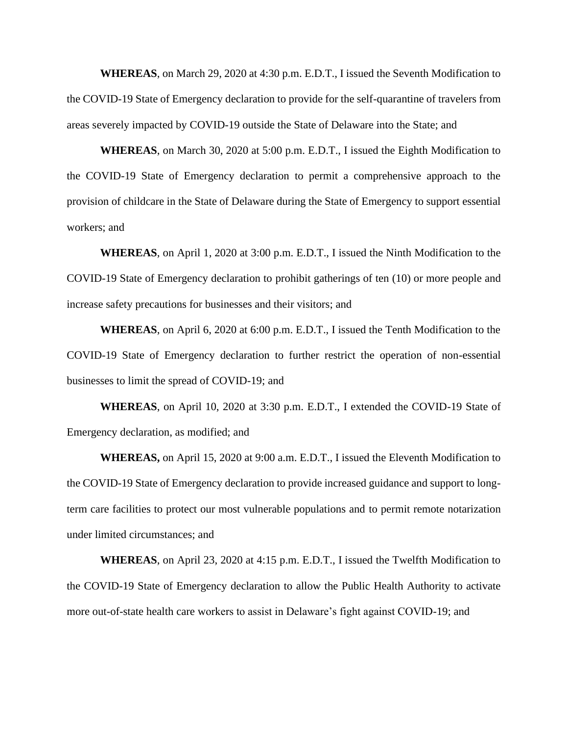**WHEREAS**, on March 29, 2020 at 4:30 p.m. E.D.T., I issued the Seventh Modification to the COVID-19 State of Emergency declaration to provide for the self-quarantine of travelers from areas severely impacted by COVID-19 outside the State of Delaware into the State; and

**WHEREAS**, on March 30, 2020 at 5:00 p.m. E.D.T., I issued the Eighth Modification to the COVID-19 State of Emergency declaration to permit a comprehensive approach to the provision of childcare in the State of Delaware during the State of Emergency to support essential workers; and

**WHEREAS**, on April 1, 2020 at 3:00 p.m. E.D.T., I issued the Ninth Modification to the COVID-19 State of Emergency declaration to prohibit gatherings of ten (10) or more people and increase safety precautions for businesses and their visitors; and

**WHEREAS**, on April 6, 2020 at 6:00 p.m. E.D.T., I issued the Tenth Modification to the COVID-19 State of Emergency declaration to further restrict the operation of non-essential businesses to limit the spread of COVID-19; and

**WHEREAS**, on April 10, 2020 at 3:30 p.m. E.D.T., I extended the COVID-19 State of Emergency declaration, as modified; and

**WHEREAS,** on April 15, 2020 at 9:00 a.m. E.D.T., I issued the Eleventh Modification to the COVID-19 State of Emergency declaration to provide increased guidance and support to longterm care facilities to protect our most vulnerable populations and to permit remote notarization under limited circumstances; and

**WHEREAS**, on April 23, 2020 at 4:15 p.m. E.D.T., I issued the Twelfth Modification to the COVID-19 State of Emergency declaration to allow the Public Health Authority to activate more out-of-state health care workers to assist in Delaware's fight against COVID-19; and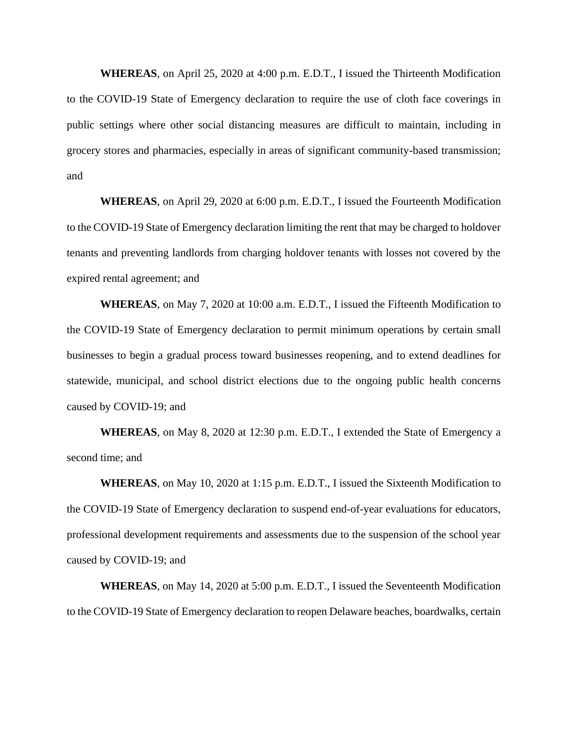**WHEREAS**, on April 25, 2020 at 4:00 p.m. E.D.T., I issued the Thirteenth Modification to the COVID-19 State of Emergency declaration to require the use of cloth face coverings in public settings where other social distancing measures are difficult to maintain, including in grocery stores and pharmacies, especially in areas of significant community-based transmission; and

**WHEREAS**, on April 29, 2020 at 6:00 p.m. E.D.T., I issued the Fourteenth Modification to the COVID-19 State of Emergency declaration limiting the rent that may be charged to holdover tenants and preventing landlords from charging holdover tenants with losses not covered by the expired rental agreement; and

**WHEREAS**, on May 7, 2020 at 10:00 a.m. E.D.T., I issued the Fifteenth Modification to the COVID-19 State of Emergency declaration to permit minimum operations by certain small businesses to begin a gradual process toward businesses reopening, and to extend deadlines for statewide, municipal, and school district elections due to the ongoing public health concerns caused by COVID-19; and

**WHEREAS**, on May 8, 2020 at 12:30 p.m. E.D.T., I extended the State of Emergency a second time; and

**WHEREAS**, on May 10, 2020 at 1:15 p.m. E.D.T., I issued the Sixteenth Modification to the COVID-19 State of Emergency declaration to suspend end-of-year evaluations for educators, professional development requirements and assessments due to the suspension of the school year caused by COVID-19; and

**WHEREAS**, on May 14, 2020 at 5:00 p.m. E.D.T., I issued the Seventeenth Modification to the COVID-19 State of Emergency declaration to reopen Delaware beaches, boardwalks, certain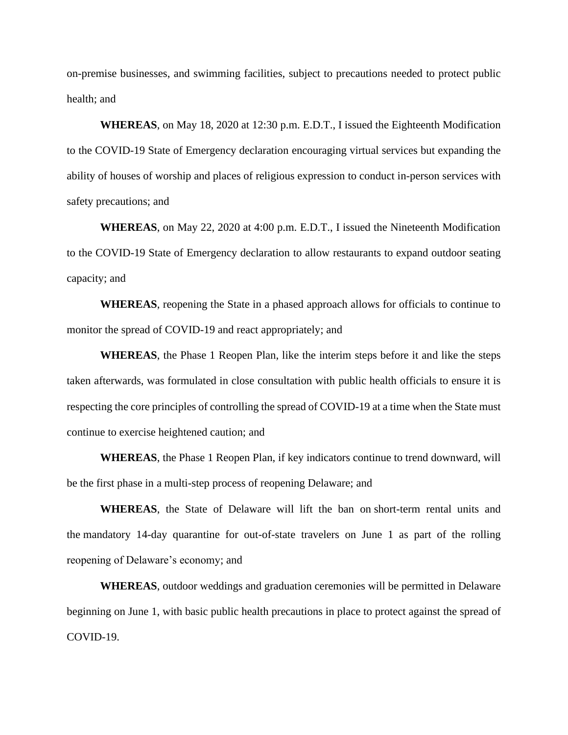on-premise businesses, and swimming facilities, subject to precautions needed to protect public health; and

**WHEREAS**, on May 18, 2020 at 12:30 p.m. E.D.T., I issued the Eighteenth Modification to the COVID-19 State of Emergency declaration encouraging virtual services but expanding the ability of houses of worship and places of religious expression to conduct in-person services with safety precautions; and

**WHEREAS**, on May 22, 2020 at 4:00 p.m. E.D.T., I issued the Nineteenth Modification to the COVID-19 State of Emergency declaration to allow restaurants to expand outdoor seating capacity; and

**WHEREAS**, reopening the State in a phased approach allows for officials to continue to monitor the spread of COVID-19 and react appropriately; and

**WHEREAS**, the Phase 1 Reopen Plan, like the interim steps before it and like the steps taken afterwards, was formulated in close consultation with public health officials to ensure it is respecting the core principles of controlling the spread of COVID-19 at a time when the State must continue to exercise heightened caution; and

**WHEREAS**, the Phase 1 Reopen Plan, if key indicators continue to trend downward, will be the first phase in a multi-step process of reopening Delaware; and

**WHEREAS**, the State of Delaware will lift the ban on short-term rental units and the mandatory 14-day quarantine for out-of-state travelers on June 1 as part of the rolling reopening of Delaware's economy; and

**WHEREAS**, outdoor weddings and graduation ceremonies will be permitted in Delaware beginning on June 1, with basic public health precautions in place to protect against the spread of COVID-19.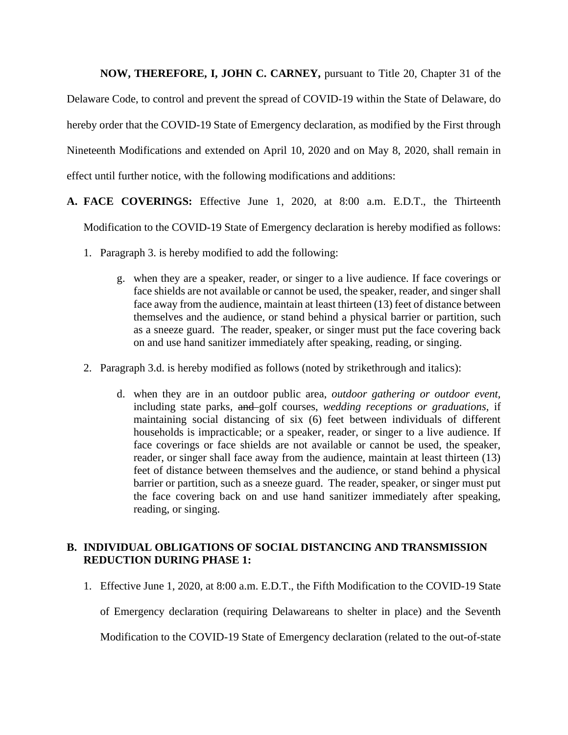**NOW, THEREFORE, I, JOHN C. CARNEY,** pursuant to Title 20, Chapter 31 of the

Delaware Code, to control and prevent the spread of COVID-19 within the State of Delaware, do hereby order that the COVID-19 State of Emergency declaration, as modified by the First through Nineteenth Modifications and extended on April 10, 2020 and on May 8, 2020, shall remain in effect until further notice, with the following modifications and additions:

- **A. FACE COVERINGS:** Effective June 1, 2020, at 8:00 a.m. E.D.T., the Thirteenth Modification to the COVID-19 State of Emergency declaration is hereby modified as follows:
	- 1. Paragraph 3. is hereby modified to add the following:
		- g. when they are a speaker, reader, or singer to a live audience. If face coverings or face shields are not available or cannot be used, the speaker, reader, and singer shall face away from the audience, maintain at least thirteen (13) feet of distance between themselves and the audience, or stand behind a physical barrier or partition, such as a sneeze guard. The reader, speaker, or singer must put the face covering back on and use hand sanitizer immediately after speaking, reading, or singing.
	- 2. Paragraph 3.d. is hereby modified as follows (noted by strikethrough and italics):
		- d. when they are in an outdoor public area, *outdoor gathering or outdoor event,*  including state parks*,* and golf courses, *wedding receptions or graduations,* if maintaining social distancing of six (6) feet between individuals of different households is impracticable; or a speaker, reader, or singer to a live audience. If face coverings or face shields are not available or cannot be used, the speaker, reader, or singer shall face away from the audience, maintain at least thirteen (13) feet of distance between themselves and the audience, or stand behind a physical barrier or partition, such as a sneeze guard. The reader, speaker, or singer must put the face covering back on and use hand sanitizer immediately after speaking, reading, or singing.

## **B. INDIVIDUAL OBLIGATIONS OF SOCIAL DISTANCING AND TRANSMISSION REDUCTION DURING PHASE 1:**

1. Effective June 1, 2020, at 8:00 a.m. E.D.T., the Fifth Modification to the COVID-19 State

of Emergency declaration (requiring Delawareans to shelter in place) and the Seventh

Modification to the COVID-19 State of Emergency declaration (related to the out-of-state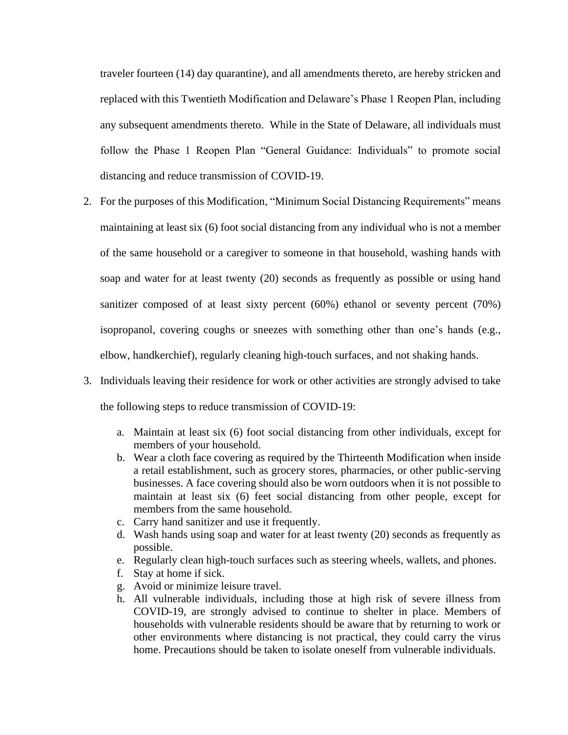traveler fourteen (14) day quarantine), and all amendments thereto, are hereby stricken and replaced with this Twentieth Modification and Delaware's Phase 1 Reopen Plan, including any subsequent amendments thereto. While in the State of Delaware, all individuals must follow the Phase 1 Reopen Plan "General Guidance: Individuals" to promote social distancing and reduce transmission of COVID-19.

- 2. For the purposes of this Modification, "Minimum Social Distancing Requirements" means maintaining at least six (6) foot social distancing from any individual who is not a member of the same household or a caregiver to someone in that household, washing hands with soap and water for at least twenty (20) seconds as frequently as possible or using hand sanitizer composed of at least sixty percent (60%) ethanol or seventy percent (70%) isopropanol, covering coughs or sneezes with something other than one's hands (e.g., elbow, handkerchief), regularly cleaning high-touch surfaces, and not shaking hands.
- 3. Individuals leaving their residence for work or other activities are strongly advised to take the following steps to reduce transmission of COVID-19:
	- a. Maintain at least six (6) foot social distancing from other individuals, except for members of your household.
	- b. Wear a cloth face covering as required by the Thirteenth Modification when inside a retail establishment, such as grocery stores, pharmacies, or other public-serving businesses. A face covering should also be worn outdoors when it is not possible to maintain at least six (6) feet social distancing from other people, except for members from the same household.
	- c. Carry hand sanitizer and use it frequently.
	- d. Wash hands using soap and water for at least twenty (20) seconds as frequently as possible.
	- e. Regularly clean high-touch surfaces such as steering wheels, wallets, and phones.
	- f. Stay at home if sick.
	- g. Avoid or minimize leisure travel.
	- h. All vulnerable individuals, including those at high risk of severe illness from COVID-19, are strongly advised to continue to shelter in place. Members of households with vulnerable residents should be aware that by returning to work or other environments where distancing is not practical, they could carry the virus home. Precautions should be taken to isolate oneself from vulnerable individuals.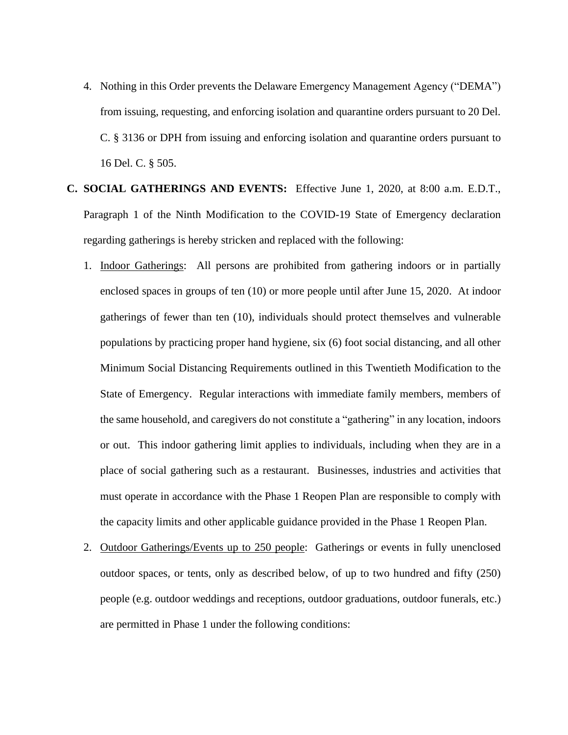- 4. Nothing in this Order prevents the Delaware Emergency Management Agency ("DEMA") from issuing, requesting, and enforcing isolation and quarantine orders pursuant to 20 Del. C. § 3136 or DPH from issuing and enforcing isolation and quarantine orders pursuant to 16 Del. C. § 505.
- **C. SOCIAL GATHERINGS AND EVENTS:** Effective June 1, 2020, at 8:00 a.m. E.D.T., Paragraph 1 of the Ninth Modification to the COVID-19 State of Emergency declaration regarding gatherings is hereby stricken and replaced with the following:
	- 1. Indoor Gatherings: All persons are prohibited from gathering indoors or in partially enclosed spaces in groups of ten (10) or more people until after June 15, 2020. At indoor gatherings of fewer than ten (10), individuals should protect themselves and vulnerable populations by practicing proper hand hygiene, six (6) foot social distancing, and all other Minimum Social Distancing Requirements outlined in this Twentieth Modification to the State of Emergency. Regular interactions with immediate family members, members of the same household, and caregivers do not constitute a "gathering" in any location, indoors or out. This indoor gathering limit applies to individuals, including when they are in a place of social gathering such as a restaurant. Businesses, industries and activities that must operate in accordance with the Phase 1 Reopen Plan are responsible to comply with the capacity limits and other applicable guidance provided in the Phase 1 Reopen Plan.
	- 2. Outdoor Gatherings/Events up to 250 people: Gatherings or events in fully unenclosed outdoor spaces, or tents, only as described below, of up to two hundred and fifty (250) people (e.g. outdoor weddings and receptions, outdoor graduations, outdoor funerals, etc.) are permitted in Phase 1 under the following conditions: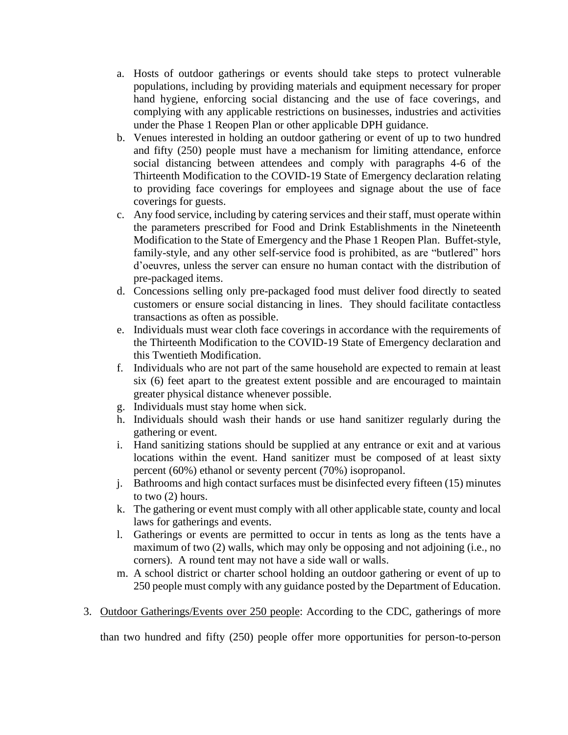- a. Hosts of outdoor gatherings or events should take steps to protect vulnerable populations, including by providing materials and equipment necessary for proper hand hygiene, enforcing social distancing and the use of face coverings, and complying with any applicable restrictions on businesses, industries and activities under the Phase 1 Reopen Plan or other applicable DPH guidance.
- b. Venues interested in holding an outdoor gathering or event of up to two hundred and fifty (250) people must have a mechanism for limiting attendance, enforce social distancing between attendees and comply with paragraphs 4-6 of the Thirteenth Modification to the COVID-19 State of Emergency declaration relating to providing face coverings for employees and signage about the use of face coverings for guests.
- c. Any food service, including by catering services and their staff, must operate within the parameters prescribed for Food and Drink Establishments in the Nineteenth Modification to the State of Emergency and the Phase 1 Reopen Plan. Buffet-style, family-style, and any other self-service food is prohibited, as are "butlered" hors d'oeuvres, unless the server can ensure no human contact with the distribution of pre-packaged items.
- d. Concessions selling only pre-packaged food must deliver food directly to seated customers or ensure social distancing in lines. They should facilitate contactless transactions as often as possible.
- e. Individuals must wear cloth face coverings in accordance with the requirements of the Thirteenth Modification to the COVID-19 State of Emergency declaration and this Twentieth Modification.
- f. Individuals who are not part of the same household are expected to remain at least six (6) feet apart to the greatest extent possible and are encouraged to maintain greater physical distance whenever possible.
- g. Individuals must stay home when sick.
- h. Individuals should wash their hands or use hand sanitizer regularly during the gathering or event.
- i. Hand sanitizing stations should be supplied at any entrance or exit and at various locations within the event. Hand sanitizer must be composed of at least sixty percent (60%) ethanol or seventy percent (70%) isopropanol.
- j. Bathrooms and high contact surfaces must be disinfected every fifteen (15) minutes to two (2) hours.
- k. The gathering or event must comply with all other applicable state, county and local laws for gatherings and events.
- l. Gatherings or events are permitted to occur in tents as long as the tents have a maximum of two (2) walls, which may only be opposing and not adjoining (i.e., no corners). A round tent may not have a side wall or walls.
- m. A school district or charter school holding an outdoor gathering or event of up to 250 people must comply with any guidance posted by the Department of Education.
- 3. Outdoor Gatherings/Events over 250 people: According to the CDC, gatherings of more

than two hundred and fifty (250) people offer more opportunities for person-to-person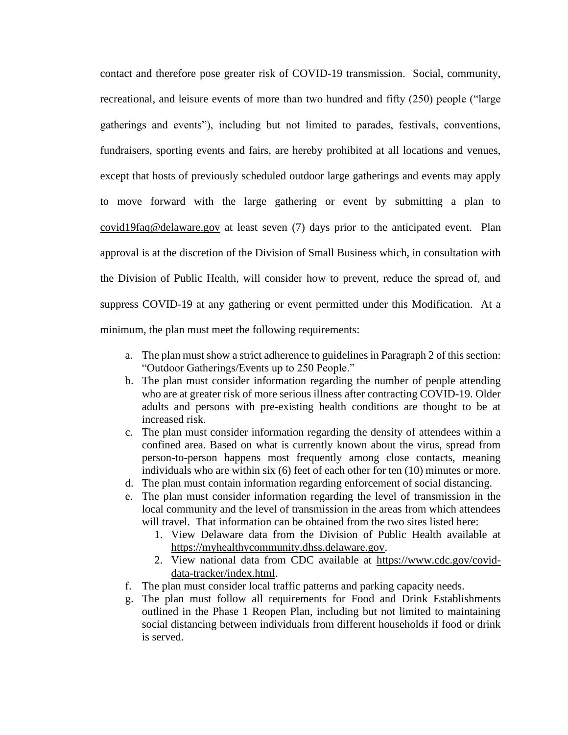contact and therefore pose greater risk of COVID-19 transmission. Social, community, recreational, and leisure events of more than two hundred and fifty (250) people ("large gatherings and events"), including but not limited to parades, festivals, conventions, fundraisers, sporting events and fairs, are hereby prohibited at all locations and venues, except that hosts of previously scheduled outdoor large gatherings and events may apply to move forward with the large gathering or event by submitting a plan to [covid19faq@delaware.gov](mailto:covid19faq@delaware.gov) at least seven (7) days prior to the anticipated event. Plan approval is at the discretion of the Division of Small Business which, in consultation with the Division of Public Health, will consider how to prevent, reduce the spread of, and suppress COVID-19 at any gathering or event permitted under this Modification. At a minimum, the plan must meet the following requirements:

- a. The plan must show a strict adherence to guidelines in Paragraph 2 of this section: "Outdoor Gatherings/Events up to 250 People."
- b. The plan must consider information regarding the number of people attending who are at greater risk of more serious illness after contracting COVID-19. Older adults and persons with pre-existing health conditions are thought to be at increased risk.
- c. The plan must consider information regarding the density of attendees within a confined area. Based on what is currently known about the virus, spread from person-to-person happens most frequently among close contacts, meaning individuals who are within six (6) feet of each other for ten (10) minutes or more.
- d. The plan must contain information regarding enforcement of social distancing.
- e. The plan must consider information regarding the level of transmission in the local community and the level of transmission in the areas from which attendees will travel. That information can be obtained from the two sites listed here:
	- 1. View Delaware data from the Division of Public Health available at [https://myhealthycommunity.dhss.delaware.gov.](https://myhealthycommunity.dhss.delaware.gov/)
	- 2. View national data from CDC available at [https://www.cdc.gov/covid](https://www.cdc.gov/covid-data-tracker/index.html)[data-tracker/index.html.](https://www.cdc.gov/covid-data-tracker/index.html)
- f. The plan must consider local traffic patterns and parking capacity needs.
- g. The plan must follow all requirements for Food and Drink Establishments outlined in the Phase 1 Reopen Plan, including but not limited to maintaining social distancing between individuals from different households if food or drink is served.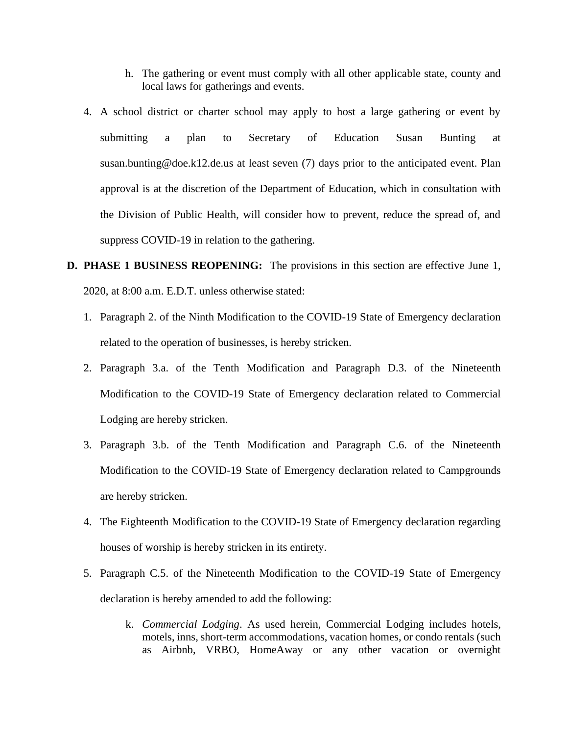- h. The gathering or event must comply with all other applicable state, county and local laws for gatherings and events.
- 4. A school district or charter school may apply to host a large gathering or event by submitting a plan to Secretary of Education Susan Bunting at susan.bunting@doe.k12.de.us at least seven (7) days prior to the anticipated event. Plan approval is at the discretion of the Department of Education, which in consultation with the Division of Public Health, will consider how to prevent, reduce the spread of, and suppress COVID-19 in relation to the gathering.
- **D. PHASE 1 BUSINESS REOPENING:** The provisions in this section are effective June 1, 2020, at 8:00 a.m. E.D.T. unless otherwise stated:
	- 1. Paragraph 2. of the Ninth Modification to the COVID-19 State of Emergency declaration related to the operation of businesses, is hereby stricken.
	- 2. Paragraph 3.a. of the Tenth Modification and Paragraph D.3. of the Nineteenth Modification to the COVID-19 State of Emergency declaration related to Commercial Lodging are hereby stricken.
	- 3. Paragraph 3.b. of the Tenth Modification and Paragraph C.6. of the Nineteenth Modification to the COVID-19 State of Emergency declaration related to Campgrounds are hereby stricken.
	- 4. The Eighteenth Modification to the COVID-19 State of Emergency declaration regarding houses of worship is hereby stricken in its entirety.
	- 5. Paragraph C.5. of the Nineteenth Modification to the COVID-19 State of Emergency declaration is hereby amended to add the following:
		- k. *Commercial Lodging*. As used herein, Commercial Lodging includes hotels, motels, inns, short-term accommodations, vacation homes, or condo rentals (such as Airbnb, VRBO, HomeAway or any other vacation or overnight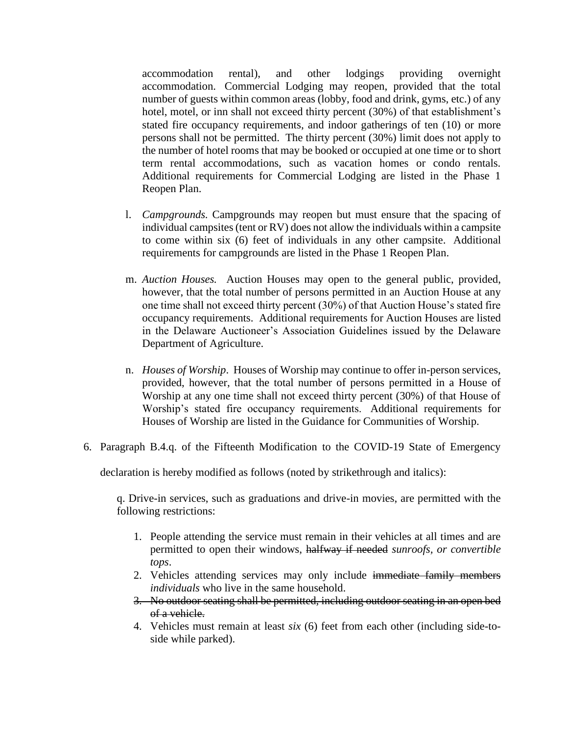accommodation rental), and other lodgings providing overnight accommodation. Commercial Lodging may reopen, provided that the total number of guests within common areas (lobby, food and drink, gyms, etc.) of any hotel, motel, or inn shall not exceed thirty percent (30%) of that establishment's stated fire occupancy requirements, and indoor gatherings of ten (10) or more persons shall not be permitted. The thirty percent (30%) limit does not apply to the number of hotel rooms that may be booked or occupied at one time or to short term rental accommodations, such as vacation homes or condo rentals. Additional requirements for Commercial Lodging are listed in the Phase 1 Reopen Plan.

- l. *Campgrounds.* Campgrounds may reopen but must ensure that the spacing of individual campsites (tent or RV) does not allow the individuals within a campsite to come within six (6) feet of individuals in any other campsite. Additional requirements for campgrounds are listed in the Phase 1 Reopen Plan.
- m. *Auction Houses.* Auction Houses may open to the general public, provided, however, that the total number of persons permitted in an Auction House at any one time shall not exceed thirty percent (30%) of that Auction House's stated fire occupancy requirements. Additional requirements for Auction Houses are listed in the Delaware Auctioneer's Association Guidelines issued by the Delaware Department of Agriculture.
- n. *Houses of Worship*. Houses of Worship may continue to offer in-person services, provided, however, that the total number of persons permitted in a House of Worship at any one time shall not exceed thirty percent (30%) of that House of Worship's stated fire occupancy requirements. Additional requirements for Houses of Worship are listed in the Guidance for Communities of Worship.
- 6. Paragraph B.4.q. of the Fifteenth Modification to the COVID-19 State of Emergency

declaration is hereby modified as follows (noted by strikethrough and italics):

q. Drive-in services, such as graduations and drive-in movies, are permitted with the following restrictions:

- 1. People attending the service must remain in their vehicles at all times and are permitted to open their windows, halfway if needed *sunroofs, or convertible tops*.
- 2. Vehicles attending services may only include immediate family members *individuals* who live in the same household.
- 3. No outdoor seating shall be permitted, including outdoor seating in an open bed of a vehicle.
- 4. Vehicles must remain at least *six* (6) feet from each other (including side-toside while parked).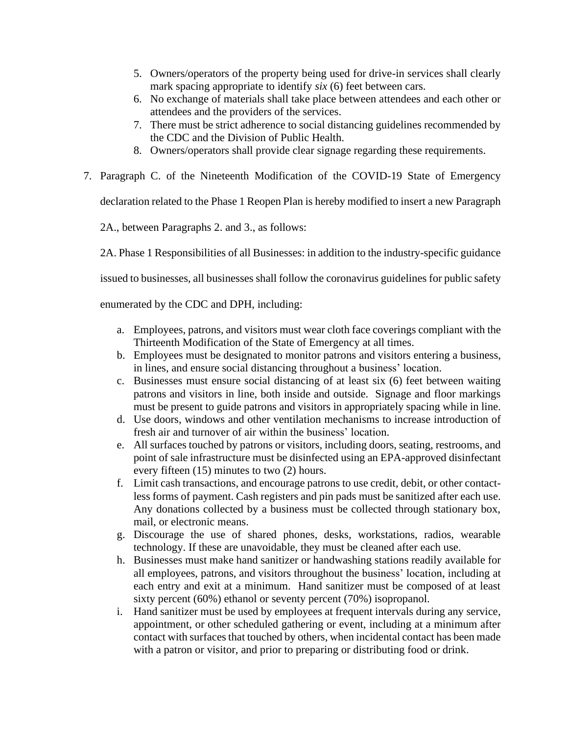- 5. Owners/operators of the property being used for drive-in services shall clearly mark spacing appropriate to identify *six* (6) feet between cars.
- 6. No exchange of materials shall take place between attendees and each other or attendees and the providers of the services.
- 7. There must be strict adherence to social distancing guidelines recommended by the CDC and the Division of Public Health.
- 8. Owners/operators shall provide clear signage regarding these requirements.
- 7. Paragraph C. of the Nineteenth Modification of the COVID-19 State of Emergency

declaration related to the Phase 1 Reopen Plan is hereby modified to insert a new Paragraph

2A., between Paragraphs 2. and 3., as follows:

2A. Phase 1 Responsibilities of all Businesses: in addition to the industry-specific guidance

issued to businesses, all businesses shall follow the coronavirus guidelines for public safety

enumerated by the CDC and DPH, including:

- a. Employees, patrons, and visitors must wear cloth face coverings compliant with the Thirteenth Modification of the State of Emergency at all times.
- b. Employees must be designated to monitor patrons and visitors entering a business, in lines, and ensure social distancing throughout a business' location.
- c. Businesses must ensure social distancing of at least six (6) feet between waiting patrons and visitors in line, both inside and outside. Signage and floor markings must be present to guide patrons and visitors in appropriately spacing while in line.
- d. Use doors, windows and other ventilation mechanisms to increase introduction of fresh air and turnover of air within the business' location.
- e. All surfaces touched by patrons or visitors, including doors, seating, restrooms, and point of sale infrastructure must be disinfected using an EPA-approved disinfectant every fifteen (15) minutes to two (2) hours.
- f. Limit cash transactions, and encourage patrons to use credit, debit, or other contactless forms of payment. Cash registers and pin pads must be sanitized after each use. Any donations collected by a business must be collected through stationary box, mail, or electronic means.
- g. Discourage the use of shared phones, desks, workstations, radios, wearable technology. If these are unavoidable, they must be cleaned after each use.
- h. Businesses must make hand sanitizer or handwashing stations readily available for all employees, patrons, and visitors throughout the business' location, including at each entry and exit at a minimum. Hand sanitizer must be composed of at least sixty percent (60%) ethanol or seventy percent (70%) isopropanol.
- i. Hand sanitizer must be used by employees at frequent intervals during any service, appointment, or other scheduled gathering or event, including at a minimum after contact with surfaces that touched by others, when incidental contact has been made with a patron or visitor, and prior to preparing or distributing food or drink.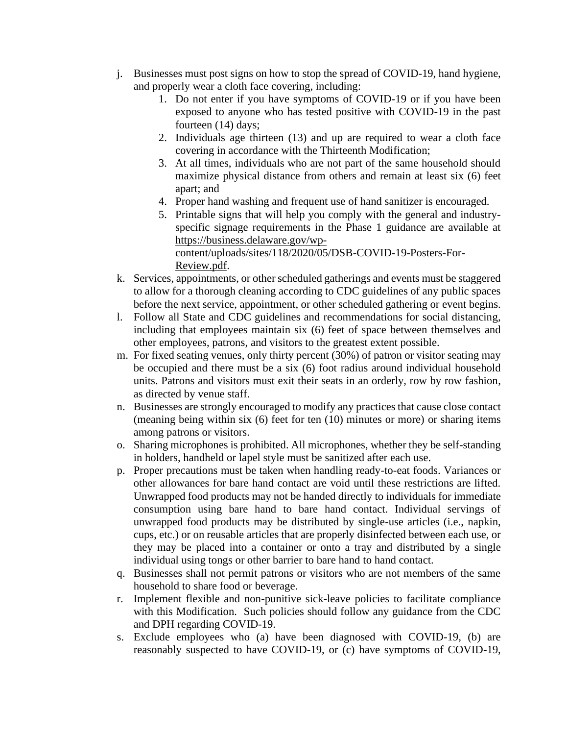- j. Businesses must post signs on how to stop the spread of COVID-19, hand hygiene, and properly wear a cloth face covering, including:
	- 1. Do not enter if you have symptoms of COVID-19 or if you have been exposed to anyone who has tested positive with COVID-19 in the past fourteen (14) days;
	- 2. Individuals age thirteen (13) and up are required to wear a cloth face covering in accordance with the Thirteenth Modification;
	- 3. At all times, individuals who are not part of the same household should maximize physical distance from others and remain at least six (6) feet apart; and
	- 4. Proper hand washing and frequent use of hand sanitizer is encouraged.
	- 5. Printable signs that will help you comply with the general and industryspecific signage requirements in the Phase 1 guidance are available at [https://business.delaware.gov/wp](https://business.delaware.gov/wp-content/uploads/sites/118/2020/05/DSB-COVID-19-Posters-For-Review.pdf)[content/uploads/sites/118/2020/05/DSB-COVID-19-Posters-For-](https://business.delaware.gov/wp-content/uploads/sites/118/2020/05/DSB-COVID-19-Posters-For-Review.pdf)

[Review.pdf.](https://business.delaware.gov/wp-content/uploads/sites/118/2020/05/DSB-COVID-19-Posters-For-Review.pdf)

- k. Services, appointments, or other scheduled gatherings and events must be staggered to allow for a thorough cleaning according to CDC guidelines of any public spaces before the next service, appointment, or other scheduled gathering or event begins.
- l. Follow all State and CDC guidelines and recommendations for social distancing, including that employees maintain six (6) feet of space between themselves and other employees, patrons, and visitors to the greatest extent possible.
- m. For fixed seating venues, only thirty percent (30%) of patron or visitor seating may be occupied and there must be a six (6) foot radius around individual household units. Patrons and visitors must exit their seats in an orderly, row by row fashion, as directed by venue staff.
- n. Businesses are strongly encouraged to modify any practices that cause close contact (meaning being within six (6) feet for ten (10) minutes or more) or sharing items among patrons or visitors.
- o. Sharing microphones is prohibited. All microphones, whether they be self-standing in holders, handheld or lapel style must be sanitized after each use.
- p. Proper precautions must be taken when handling ready-to-eat foods. Variances or other allowances for bare hand contact are void until these restrictions are lifted. Unwrapped food products may not be handed directly to individuals for immediate consumption using bare hand to bare hand contact. Individual servings of unwrapped food products may be distributed by single-use articles (i.e., napkin, cups, etc.) or on reusable articles that are properly disinfected between each use, or they may be placed into a container or onto a tray and distributed by a single individual using tongs or other barrier to bare hand to hand contact.
- q. Businesses shall not permit patrons or visitors who are not members of the same household to share food or beverage.
- r. Implement flexible and non-punitive sick-leave policies to facilitate compliance with this Modification. Such policies should follow any guidance from the CDC and DPH regarding COVID-19.
- s. Exclude employees who (a) have been diagnosed with COVID-19, (b) are reasonably suspected to have COVID-19, or (c) have symptoms of COVID-19,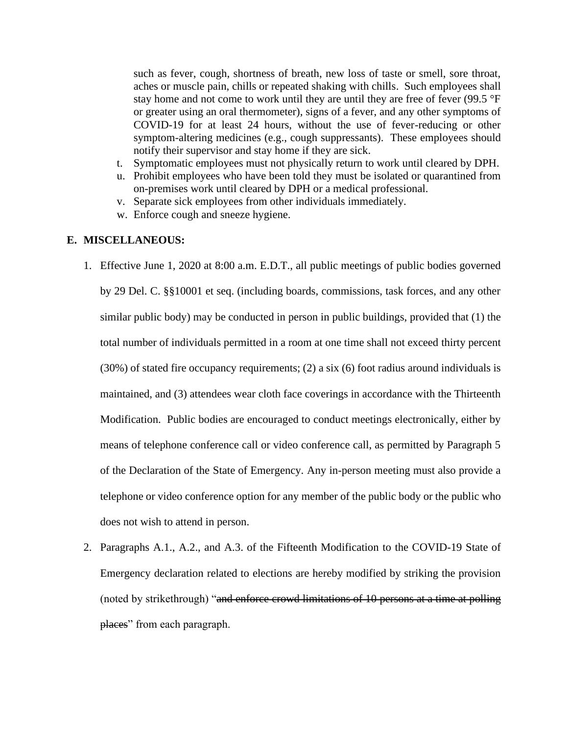such as fever, cough, shortness of breath, new loss of taste or smell, sore throat, aches or muscle pain, chills or repeated shaking with chills. Such employees shall stay home and not come to work until they are until they are free of fever (99.5 °F) or greater using an oral thermometer), signs of a fever, and any other symptoms of COVID-19 for at least 24 hours, without the use of fever-reducing or other symptom-altering medicines (e.g., cough suppressants). These employees should notify their supervisor and stay home if they are sick.

- t. Symptomatic employees must not physically return to work until cleared by DPH.
- u. Prohibit employees who have been told they must be isolated or quarantined from on-premises work until cleared by DPH or a medical professional.
- v. Separate sick employees from other individuals immediately.
- w. Enforce cough and sneeze hygiene.

## **E. MISCELLANEOUS:**

- 1. Effective June 1, 2020 at 8:00 a.m. E.D.T., all public meetings of public bodies governed by 29 Del. C. §§10001 et seq. (including boards, commissions, task forces, and any other similar public body) may be conducted in person in public buildings, provided that (1) the total number of individuals permitted in a room at one time shall not exceed thirty percent (30%) of stated fire occupancy requirements; (2) a six (6) foot radius around individuals is maintained, and (3) attendees wear cloth face coverings in accordance with the Thirteenth Modification. Public bodies are encouraged to conduct meetings electronically, either by means of telephone conference call or video conference call, as permitted by Paragraph 5 of the Declaration of the State of Emergency. Any in-person meeting must also provide a telephone or video conference option for any member of the public body or the public who does not wish to attend in person.
- 2. Paragraphs A.1., A.2., and A.3. of the Fifteenth Modification to the COVID-19 State of Emergency declaration related to elections are hereby modified by striking the provision (noted by strikethrough) "and enforce crowd limitations of 10 persons at a time at polling places" from each paragraph.